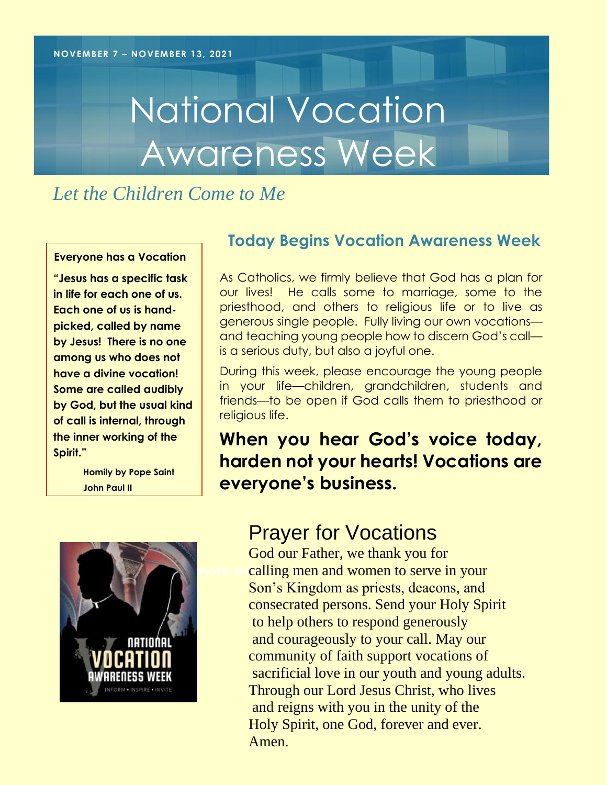# National Vocation Awareness Week

*Let the Children Come to Me*

#### **Everyone has a Vocation**

**"Jesus has a specific task in life for each one of us. Each one of us is handpicked, called by name by Jesus! There is no one among us who does not have a divine vocation! Some are called audibly by God, but the usual kind of call is internal, through the inner working of the Spirit."**

> **Homily by Pope Saint John Paul II**



## **Today Begins Vocation Awareness Week**

As Catholics, we firmly believe that God has a plan for our lives! He calls some to marriage, some to the priesthood, and others to religious life or to live as generous single people. Fully living our own vocations and teaching young people how to discern God's call is a serious duty, but also a joyful one.

During this week, please encourage the young people in your life—children, grandchildren, students and friends—to be open if God calls them to priesthood or religious life.

# **When you hear God's voice today, harden not your hearts! Vocations are everyone's business.**

# Prayer for Vocations

**EXPLOYEE NEICAlling men and women to serve in your** God our Father, we thank you for Son's Kingdom as priests, deacons, and consecrated persons. Send your Holy Spirit to help others to respond generously and courageously to your call. May our community of faith support vocations of sacrificial love in our youth and young adults. Through our Lord Jesus Christ, who lives and reigns with you in the unity of the Holy Spirit, one God, forever and ever. Amen.